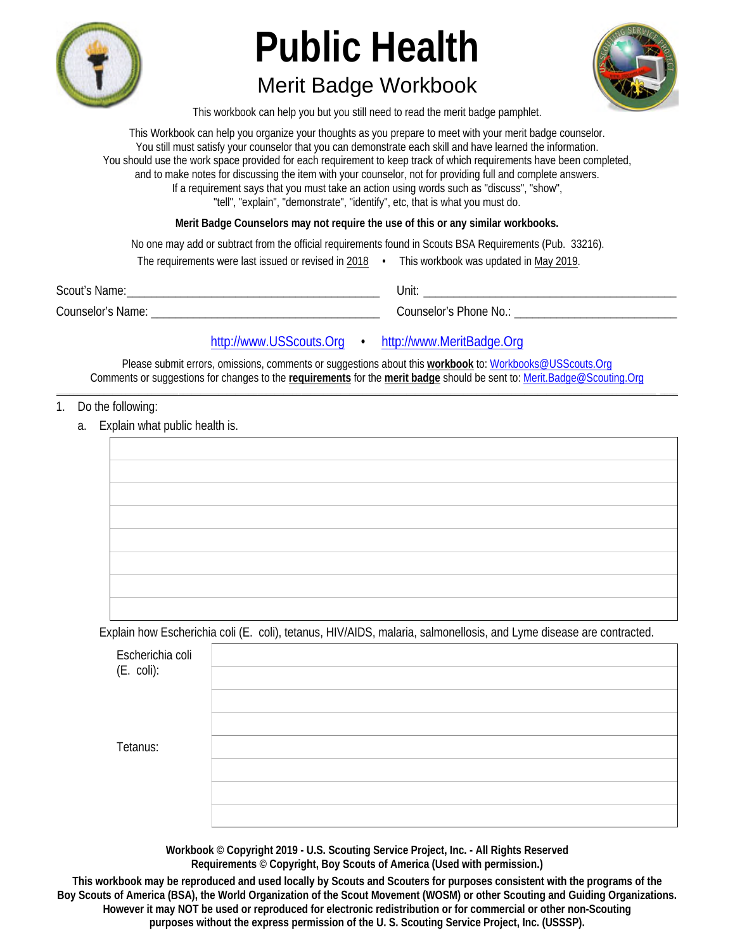

## **Merit Badge Workbook**



This workbook can help you but you still need to read the merit badge pamphlet.

This Workbook can help you organize your thoughts as you prepare to meet with your merit badge counselor. You still must satisfy your counselor that you can demonstrate each skill and have learned the information. You should use the work space provided for each requirement to keep track of which requirements have been completed, and to make notes for discussing the item with your counselor, not for providing full and complete answers. If a requirement says that you must take an action using words such as "discuss", "show", "tell", "explain", "demonstrate", "identify", etc, that is what you must do.

Merit Badge Counselors may not require the use of this or any similar workbooks.

No one may add or subtract from the official requirements found in Scouts BSA Requirements (Pub. 33216).

|                   | The requirements were last issued or revised in 2018 | This workbook was updated in May 2019. |
|-------------------|------------------------------------------------------|----------------------------------------|
| Scout's Name:     |                                                      | :Jnit                                  |
| Counselor's Name: |                                                      | <b>Counselor's Phone No.:</b>          |

http://www.USScouts.Org · http://www.MeritBadge.Org

Please submit errors, omissions, comments or suggestions about this workbook to: Workbooks@USScouts.Org Comments or suggestions for changes to the requirements for the merit badge should be sent to: Merit.Badge@Scouting.Org

#### 1. Do the following:

a. Explain what public health is.

| The contract of the contract of the contract of the contract of the contract of the contract of the contract of |  |  |
|-----------------------------------------------------------------------------------------------------------------|--|--|
|                                                                                                                 |  |  |
|                                                                                                                 |  |  |
|                                                                                                                 |  |  |
|                                                                                                                 |  |  |
|                                                                                                                 |  |  |
|                                                                                                                 |  |  |
|                                                                                                                 |  |  |
|                                                                                                                 |  |  |
|                                                                                                                 |  |  |

Explain how Escherichia coli (E. coli), tetanus, HIV/AIDS, malaria, salmonellosis, and Lyme disease are contracted.

| Escherichia coli<br>$(E. \text{ coli}):$ |  |
|------------------------------------------|--|
| Tetanus:                                 |  |

Workbook © Copyright 2019 - U.S. Scouting Service Project, Inc. - All Rights Reserved Requirements © Copyright, Boy Scouts of America (Used with permission.)

This workbook may be reproduced and used locally by Scouts and Scouters for purposes consistent with the programs of the Boy Scouts of America (BSA), the World Organization of the Scout Movement (WOSM) or other Scouting and Guiding Organizations. However it may NOT be used or reproduced for electronic redistribution or for commercial or other non-Scouting purposes without the express permission of the U.S. Scouting Service Project, Inc. (USSSP).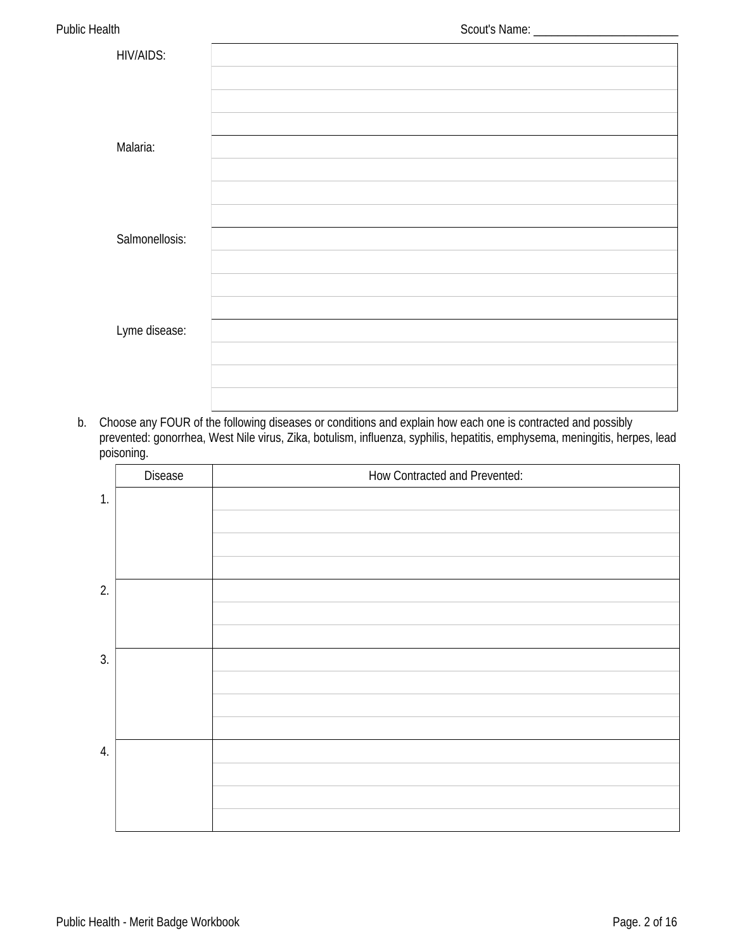| <b>HIV/AIDS:</b> |  |
|------------------|--|
|                  |  |
|                  |  |
|                  |  |
| Malaria:         |  |
|                  |  |
|                  |  |
|                  |  |
| Salmonellosis:   |  |
|                  |  |
|                  |  |
|                  |  |
| Lyme disease:    |  |
|                  |  |
|                  |  |
|                  |  |

b. Choose any FOUR of the following diseases or conditions and explain how each one is contracted and possibly prevented: gonorrhea, West Nile virus, Zika, botulism, influenza, syphilis, hepatitis, emphysema, meningitis, herpes, lead poisoning.

|    | <b>Disease</b> | How Contracted and Prevented: |
|----|----------------|-------------------------------|
| 1. |                |                               |
|    |                |                               |
|    |                |                               |
|    |                |                               |
| 2. |                |                               |
|    |                |                               |
|    |                |                               |
| 3. |                |                               |
|    |                |                               |
|    |                |                               |
|    |                |                               |
| 4. |                |                               |
|    |                |                               |
|    |                |                               |
|    |                |                               |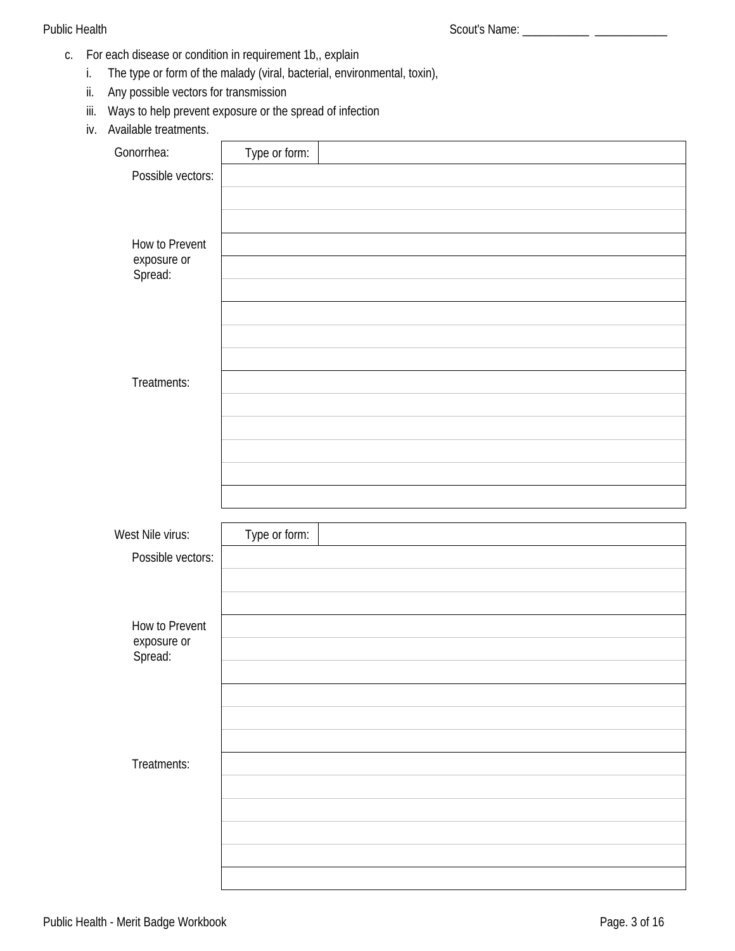- c. For each disease or condition in requirement 1b,, explain
	- The type or form of the malady (viral, bacterial, environmental, toxin), i.
	- ii. Any possible vectors for transmission
	- iii. Ways to help prevent exposure or the spread of infection
	- iv. Available treatments.

| Gonorrhea:                           | Type or form: |  |
|--------------------------------------|---------------|--|
| Possible vectors:                    |               |  |
|                                      |               |  |
|                                      |               |  |
| <b>How to Prevent</b>                |               |  |
| exposure or<br>Spread:               |               |  |
|                                      |               |  |
|                                      |               |  |
|                                      |               |  |
|                                      |               |  |
| Treatments:                          |               |  |
|                                      |               |  |
|                                      |               |  |
|                                      |               |  |
|                                      |               |  |
|                                      |               |  |
| West Nile virus:                     | Type or form: |  |
| Possible vectors:                    |               |  |
|                                      |               |  |
|                                      |               |  |
|                                      |               |  |
|                                      |               |  |
| <b>How to Prevent</b><br>exposure or |               |  |
| Spread:                              |               |  |
|                                      |               |  |
|                                      |               |  |
|                                      |               |  |
|                                      |               |  |
| Treatments:                          |               |  |
|                                      |               |  |
|                                      |               |  |
|                                      |               |  |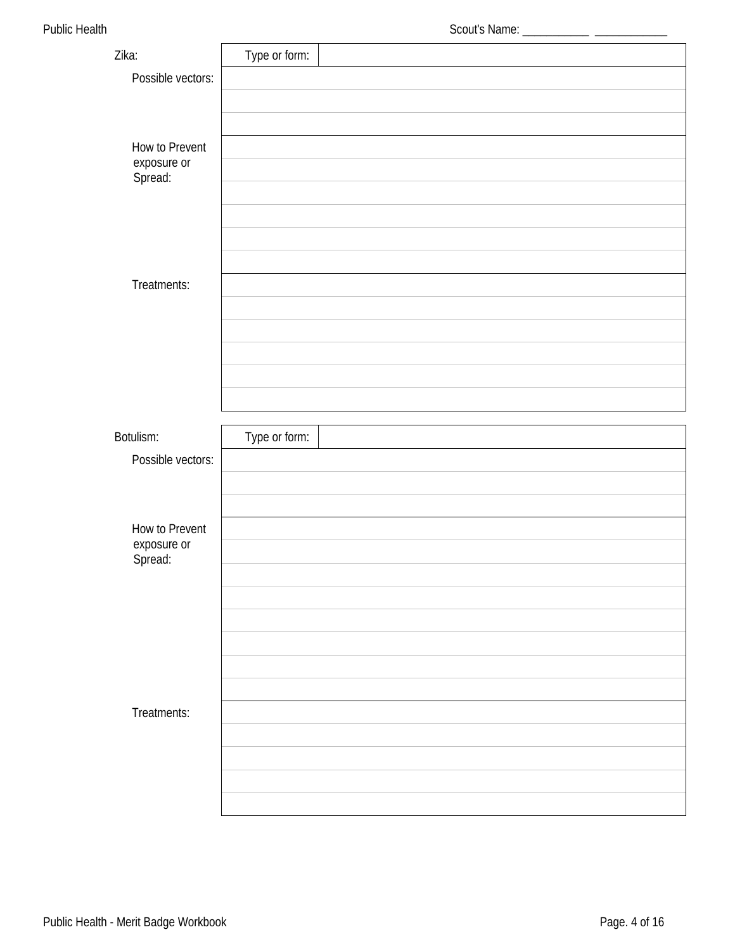|                                      |               | Scout's Name: _______________ _______ |
|--------------------------------------|---------------|---------------------------------------|
| Zika:                                | Type or form: |                                       |
| Possible vectors:                    |               |                                       |
|                                      |               |                                       |
|                                      |               |                                       |
| <b>How to Prevent</b>                |               |                                       |
| exposure or<br>Spread:               |               |                                       |
|                                      |               |                                       |
|                                      |               |                                       |
|                                      |               |                                       |
|                                      |               |                                       |
| Treatments:                          |               |                                       |
|                                      |               |                                       |
|                                      |               |                                       |
|                                      |               |                                       |
|                                      |               |                                       |
|                                      |               |                                       |
| <b>Botulism:</b>                     | Type or form: |                                       |
| Possible vectors:                    |               |                                       |
|                                      |               |                                       |
|                                      |               |                                       |
| <b>How to Prevent</b><br>exposure or |               |                                       |
| Spread:                              |               |                                       |
|                                      |               |                                       |
|                                      |               |                                       |
|                                      |               |                                       |
|                                      |               |                                       |
|                                      |               |                                       |
| Treatments:                          |               |                                       |
|                                      |               |                                       |
|                                      |               |                                       |
|                                      |               |                                       |
|                                      |               |                                       |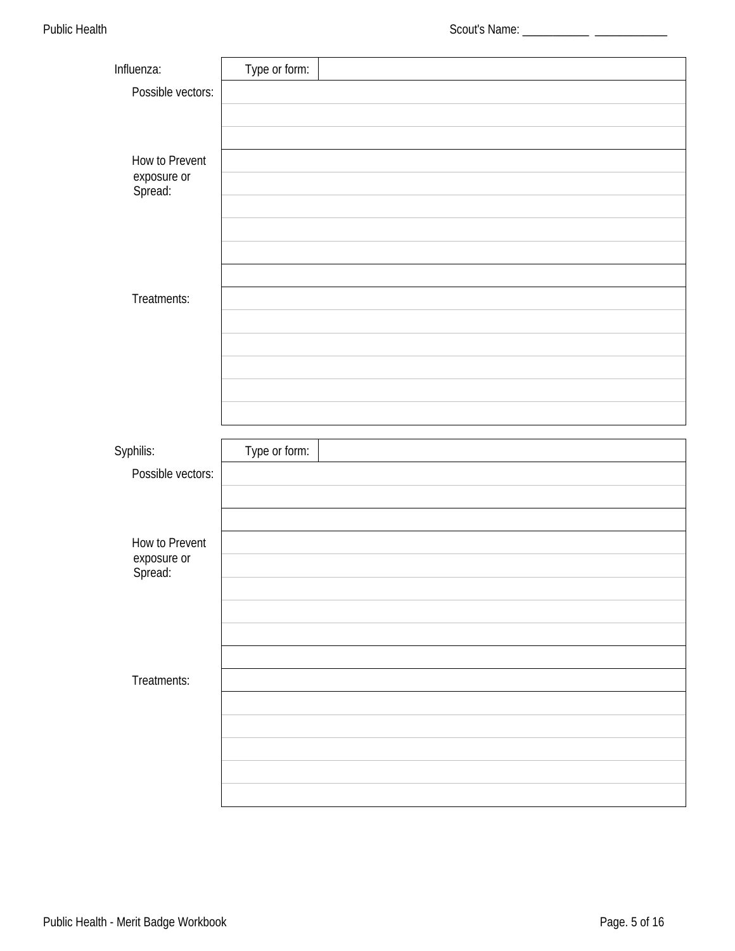| Influenza:                                      | Type or form: |  |
|-------------------------------------------------|---------------|--|
| Possible vectors:                               |               |  |
|                                                 |               |  |
|                                                 |               |  |
| <b>How to Prevent</b><br>exposure or<br>Spread: |               |  |
|                                                 |               |  |
|                                                 |               |  |
|                                                 |               |  |
|                                                 |               |  |
| Treatments:                                     |               |  |
|                                                 |               |  |
|                                                 |               |  |
|                                                 |               |  |
|                                                 |               |  |
|                                                 |               |  |
| Syphilis:                                       | Type or form: |  |
|                                                 |               |  |
| Possible vectors:                               |               |  |
|                                                 |               |  |
|                                                 |               |  |
| <b>How to Prevent</b>                           |               |  |
| exposure or                                     |               |  |
| Spread:                                         |               |  |
|                                                 |               |  |
|                                                 |               |  |
|                                                 |               |  |
| Treatments:                                     |               |  |
|                                                 |               |  |
|                                                 |               |  |
|                                                 |               |  |
|                                                 |               |  |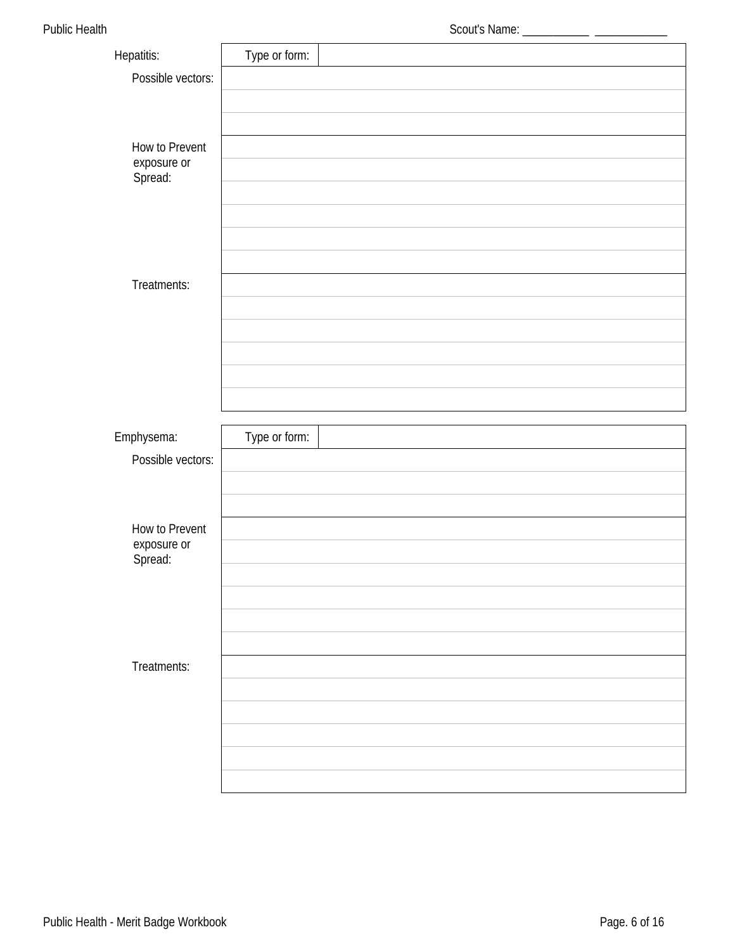| <b>Hepatitis:</b>      | Type or form: |  |
|------------------------|---------------|--|
| Possible vectors:      |               |  |
|                        |               |  |
|                        |               |  |
| <b>How to Prevent</b>  |               |  |
| exposure or<br>Spread: |               |  |
|                        |               |  |
|                        |               |  |
|                        |               |  |
| Treatments:            |               |  |
|                        |               |  |
|                        |               |  |
|                        |               |  |
|                        |               |  |
|                        |               |  |
|                        |               |  |
|                        |               |  |
| Emphysema:             | Type or form: |  |
| Possible vectors:      |               |  |
|                        |               |  |
|                        |               |  |
| <b>How to Prevent</b>  |               |  |
| exposure or            |               |  |
| Spread:                |               |  |
|                        |               |  |
|                        |               |  |
|                        |               |  |
| Treatments:            |               |  |
|                        |               |  |
|                        |               |  |
|                        |               |  |
|                        |               |  |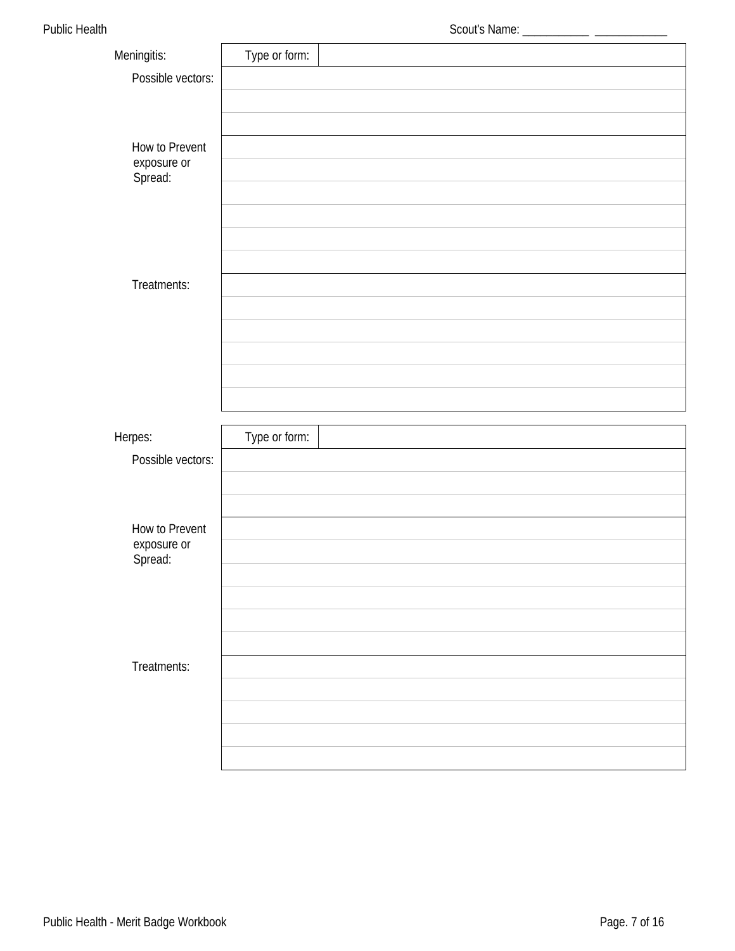|                        |               | Scout's Name: ______________ __________ |
|------------------------|---------------|-----------------------------------------|
| Meningitis:            | Type or form: |                                         |
| Possible vectors:      |               |                                         |
|                        |               |                                         |
|                        |               |                                         |
| <b>How to Prevent</b>  |               |                                         |
| exposure or<br>Spread: |               |                                         |
|                        |               |                                         |
|                        |               |                                         |
|                        |               |                                         |
|                        |               |                                         |
| Treatments:            |               |                                         |
|                        |               |                                         |
|                        |               |                                         |
|                        |               |                                         |
|                        |               |                                         |
|                        |               |                                         |
| Herpes:                | Type or form: |                                         |
| Possible vectors:      |               |                                         |
|                        |               |                                         |
|                        |               |                                         |
| <b>How to Prevent</b>  |               |                                         |
| exposure or            |               |                                         |
| Spread:                |               |                                         |
|                        |               |                                         |
|                        |               |                                         |
|                        |               |                                         |
| Treatments:            |               |                                         |
|                        |               |                                         |
|                        |               |                                         |
|                        |               |                                         |
|                        |               |                                         |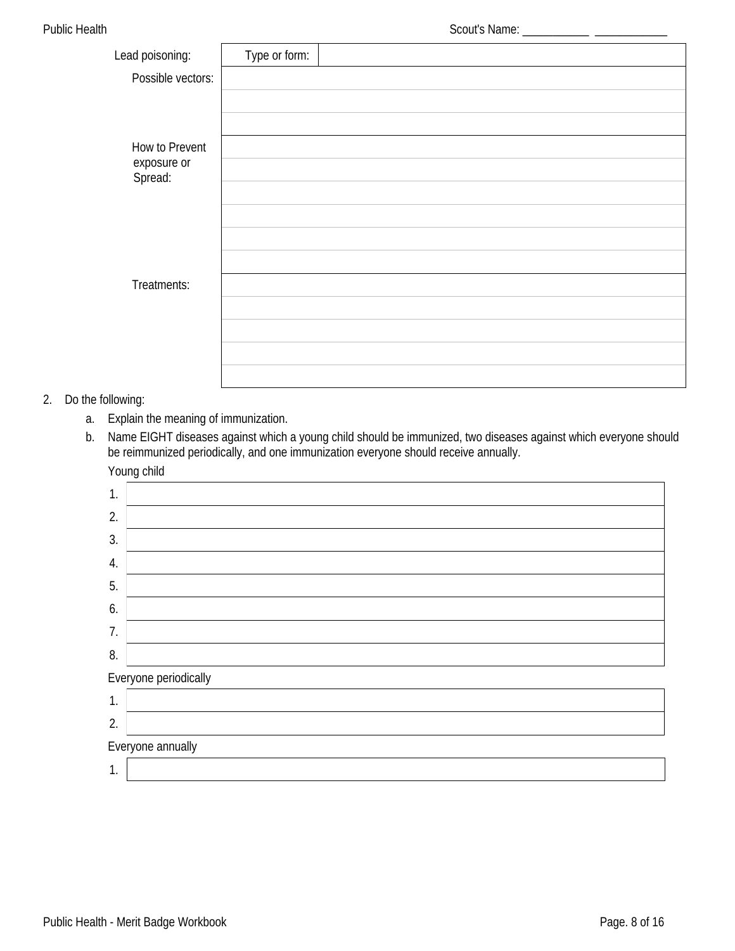| Lead poisoning:        | Type or form: |  |
|------------------------|---------------|--|
| Possible vectors:      |               |  |
|                        |               |  |
|                        |               |  |
| <b>How to Prevent</b>  |               |  |
| exposure or<br>Spread: |               |  |
|                        |               |  |
|                        |               |  |
|                        |               |  |
|                        |               |  |
| Treatments:            |               |  |
|                        |               |  |
|                        |               |  |
|                        |               |  |
|                        |               |  |

### 2. Do the following:

a. Explain the meaning of immunization.

 $\mathsf{l}$ 

b. Name EIGHT diseases against which a young child should be immunized, two diseases against which everyone should be reimmunized periodically, and one immunization everyone should receive annually. Voung child

|              | roung child           |
|--------------|-----------------------|
| 1.           |                       |
| 2.           |                       |
| 3.           |                       |
| 4.           |                       |
| 5.           |                       |
| 6.           |                       |
| 7.           |                       |
| 8.           |                       |
|              | Everyone periodically |
| $\mathbf{1}$ |                       |
| 2.           |                       |
|              | Everyone annually     |
| 1.           |                       |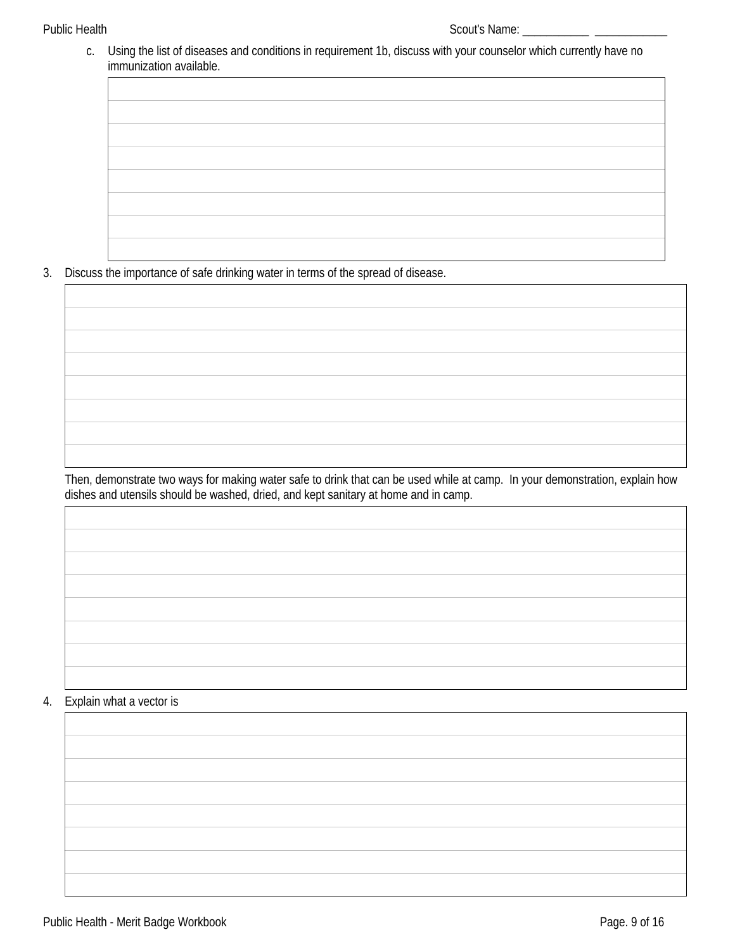c. Using the list of diseases and conditions in requirement 1b, discuss with your counselor which currently have no immunization available.

Discuss the importance of safe drinking water in terms of the spread of disease.  $3<sub>1</sub>$ 



Then, demonstrate two ways for making water safe to drink that can be used while at camp. In your demonstration, explain how dishes and utensils should be washed, dried, and kept sanitary at home and in camp.

#### Explain what a vector is 4.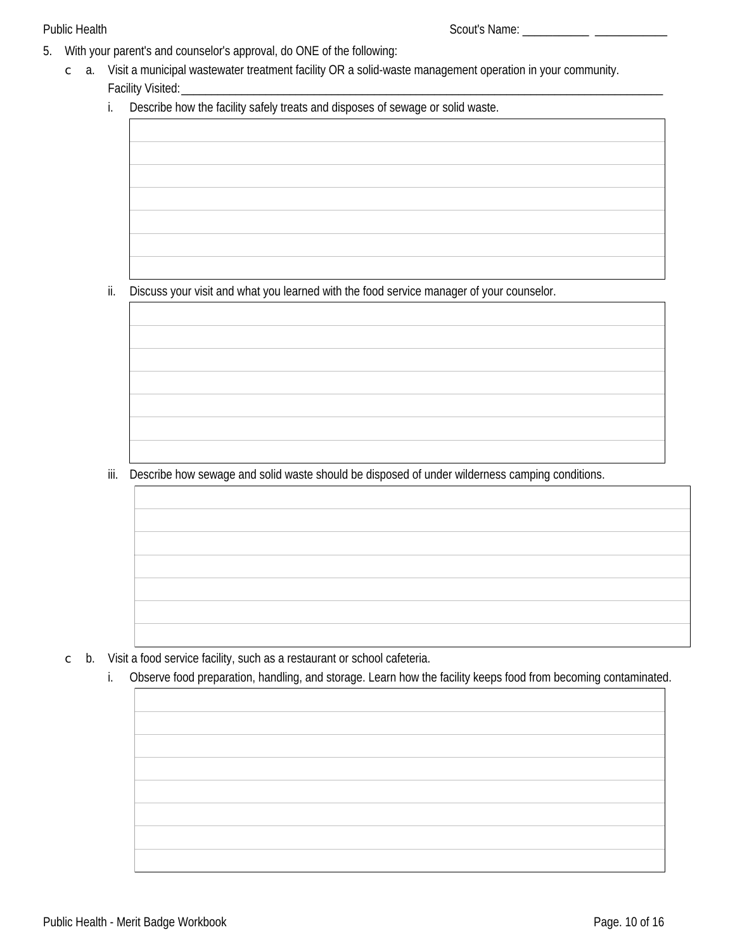- 5. With your parent's and counselor's approval, do ONE of the following:
	- $\degree$  a. Visit a municipal wastewater treatment facility OR a solid-waste management operation in your community. Facility Visited:
		- Describe how the facility safely treats and disposes of sewage or solid waste. i.

ii. Discuss your visit and what you learned with the food service manager of your counselor.

iii. Describe how sewage and solid waste should be disposed of under wilderness camping conditions.

- b. Visit a food service facility, such as a restaurant or school cafeteria.  $\mathsf C$ 
	- i. Observe food preparation, handling, and storage. Learn how the facility keeps food from becoming contaminated.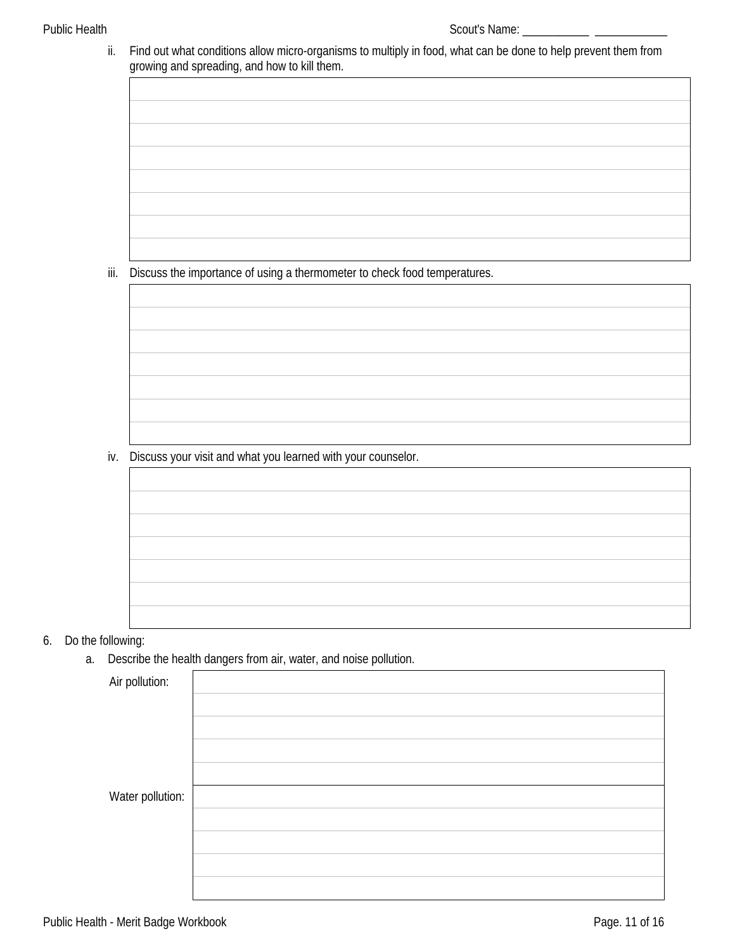ii. Find out what conditions allow micro-organisms to multiply in food, what can be done to help prevent them from growing and spreading, and how to kill them.

iii. Discuss the importance of using a thermometer to check food temperatures.

iv. Discuss your visit and what you learned with your counselor.

6. Do the following:

a. Describe the health dangers from air, water, and noise pollution.

| Air pollution:   |  |
|------------------|--|
|                  |  |
|                  |  |
|                  |  |
|                  |  |
|                  |  |
| Water pollution: |  |
|                  |  |
|                  |  |
|                  |  |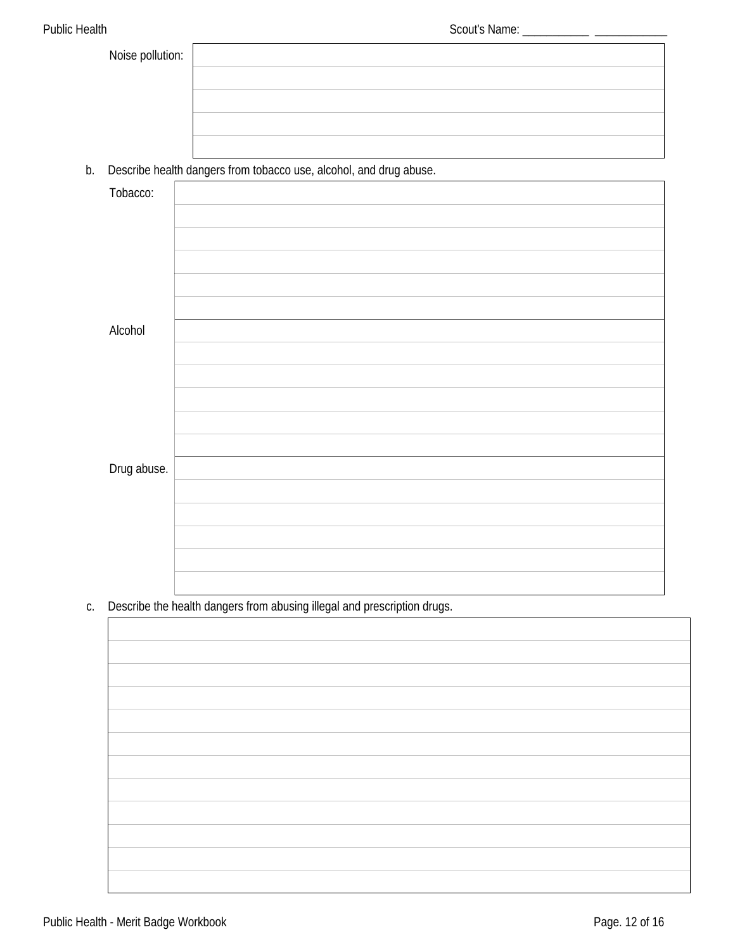| Noise pollution: |  |
|------------------|--|
|                  |  |
|                  |  |
|                  |  |
|                  |  |

b. Describe health dangers from tobacco use, alcohol, and drug abuse.

| Tobacco:    |  |
|-------------|--|
|             |  |
|             |  |
|             |  |
|             |  |
|             |  |
| Alcohol     |  |
|             |  |
|             |  |
|             |  |
|             |  |
|             |  |
|             |  |
| Drug abuse. |  |
|             |  |
|             |  |
|             |  |
|             |  |
|             |  |

c. Describe the health dangers from abusing illegal and prescription drugs.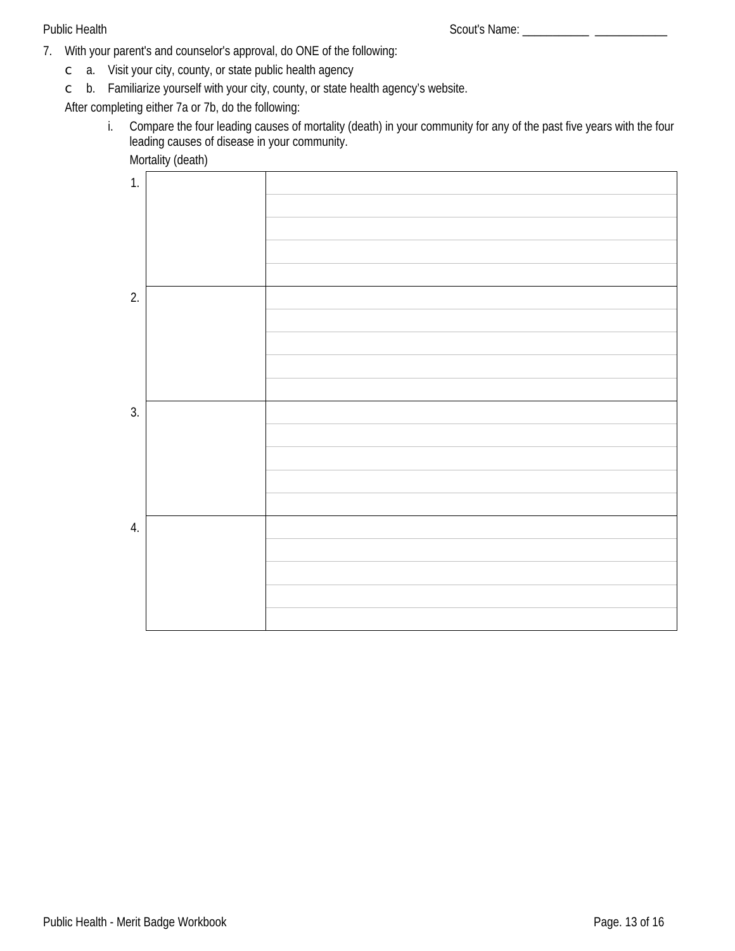$\frac{1}{1-\frac{1}{1-\frac{1}{1-\frac{1}{1-\frac{1}{1-\frac{1}{1-\frac{1}{1-\frac{1}{1-\frac{1}{1-\frac{1}{1-\frac{1}{1-\frac{1}{1-\frac{1}{1-\frac{1}{1-\frac{1}{1-\frac{1}{1-\frac{1}{1-\frac{1}{1-\frac{1}{1-\frac{1}{1-\frac{1}{1-\frac{1}{1-\frac{1}{1-\frac{1}{1-\frac{1}{1-\frac{1}{1-\frac{1}{1-\frac{1}{1-\frac{1}{1-\frac{1}{1-\frac{1}{1-\frac{1}{1-\frac{1}{1-\frac{1}{1-\frac{1}{1-\frac{1}{1-\frac{1$ 

- 7. With your parent's and counselor's approval, do ONE of the following:
	- $\circ$  a. Visit your city, county, or state public health agency
	- b. Familiarize yourself with your city, county, or state health agency's website.  $\mathsf{C}$

After completing either 7a or 7b, do the following:

Compare the four leading causes of mortality (death) in your community for any of the past five years with the four  $i$ . leading causes of disease in your community.

Mortality (death)

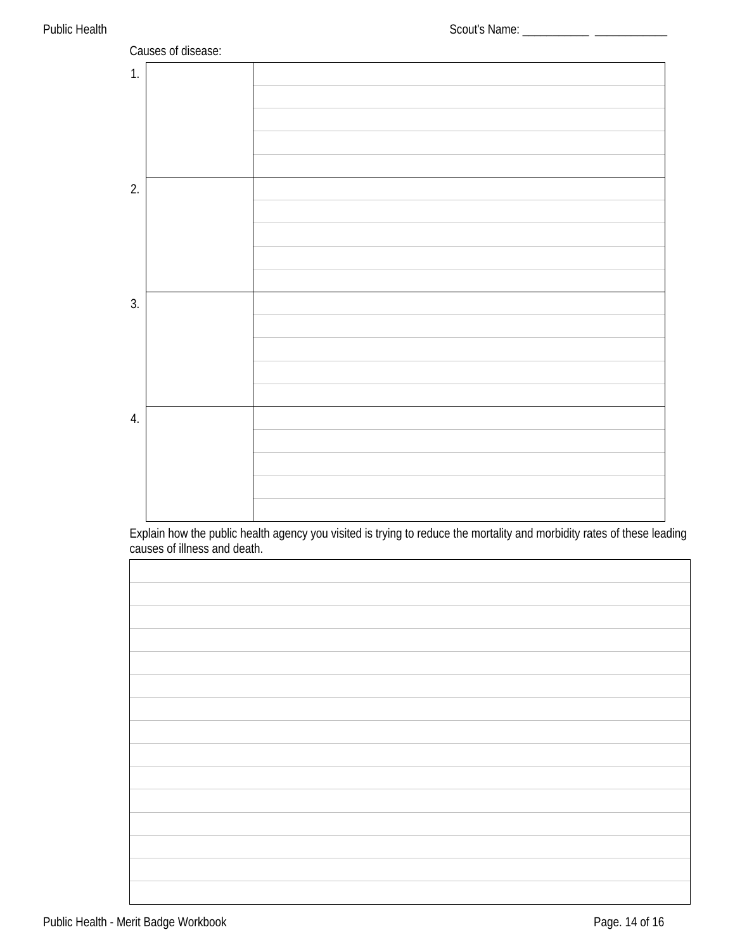

Explain how the public health agency you visited is trying to reduce the mortality and morbidity rates of these leading<br>causes of illness and death.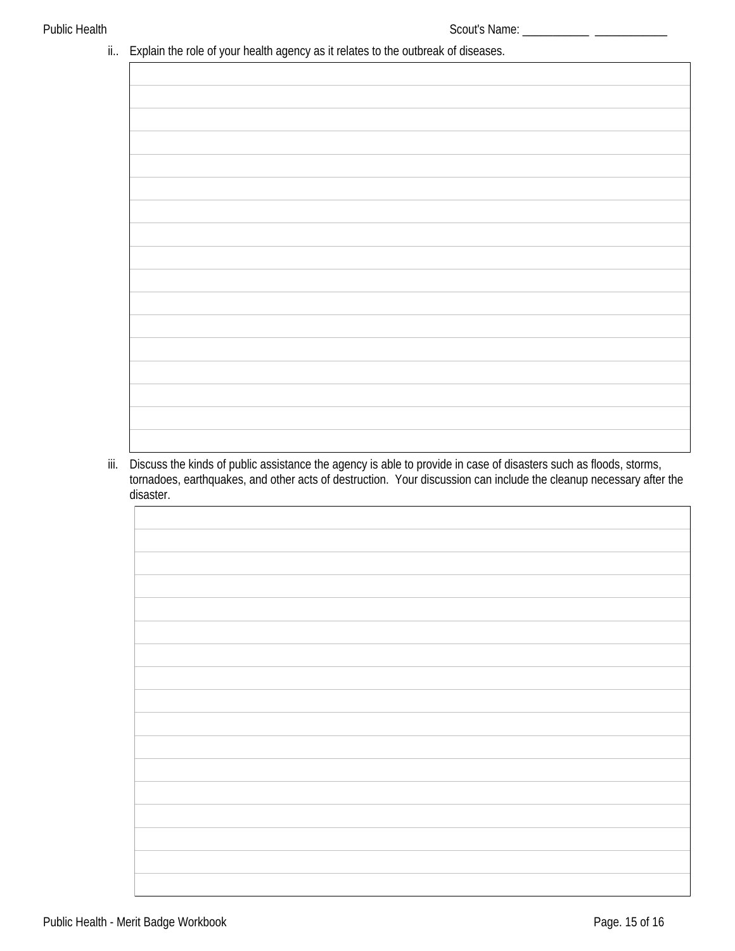#### ii.. Explain the role of your health agency as it relates to the outbreak of diseases.

iii. Discuss the kinds of public assistance the agency is able to provide in case of disasters such as floods, storms,<br>tornadoes, earthquakes, and other acts of destruction. Your discussion can include the cleanup necessar disaster.